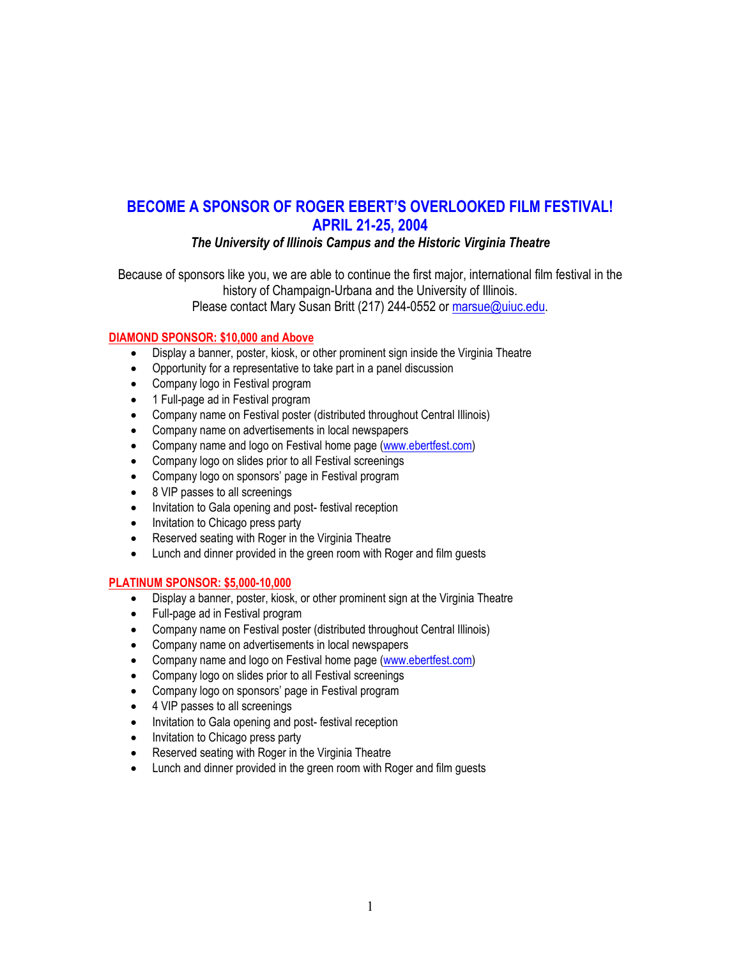# **BECOME A SPONSOR OF ROGER EBERT'S OVERLOOKED FILM FESTIVAL! APRIL 21-25, 2004**

# *The University of Illinois Campus and the Historic Virginia Theatre*

Because of sponsors like you, we are able to continue the first major, international film festival in the history of Champaign-Urbana and the University of Illinois. Please contact Mary Susan Britt (217) 244-0552 or marsue@uiuc.edu.

#### **DIAMOND SPONSOR: \$10,000 and Above**

- Display a banner, poster, kiosk, or other prominent sign inside the Virginia Theatre
- Opportunity for a representative to take part in a panel discussion
- Company logo in Festival program
- 1 Full-page ad in Festival program
- Company name on Festival poster (distributed throughout Central Illinois)
- Company name on advertisements in local newspapers
- Company name and logo on Festival home page (www.ebertfest.com)
- Company logo on slides prior to all Festival screenings
- Company logo on sponsors' page in Festival program
- 8 VIP passes to all screenings
- Invitation to Gala opening and post-festival reception
- Invitation to Chicago press party
- Reserved seating with Roger in the Virginia Theatre
- Lunch and dinner provided in the green room with Roger and film guests

#### **PLATINUM SPONSOR: \$5,000-10,000**

- Display a banner, poster, kiosk, or other prominent sign at the Virginia Theatre
- Full-page ad in Festival program
- Company name on Festival poster (distributed throughout Central Illinois)
- Company name on advertisements in local newspapers
- Company name and logo on Festival home page (www.ebertfest.com)
- Company logo on slides prior to all Festival screenings
- Company logo on sponsors' page in Festival program
- 4 VIP passes to all screenings
- Invitation to Gala opening and post- festival reception
- Invitation to Chicago press party
- Reserved seating with Roger in the Virginia Theatre
- Lunch and dinner provided in the green room with Roger and film guests